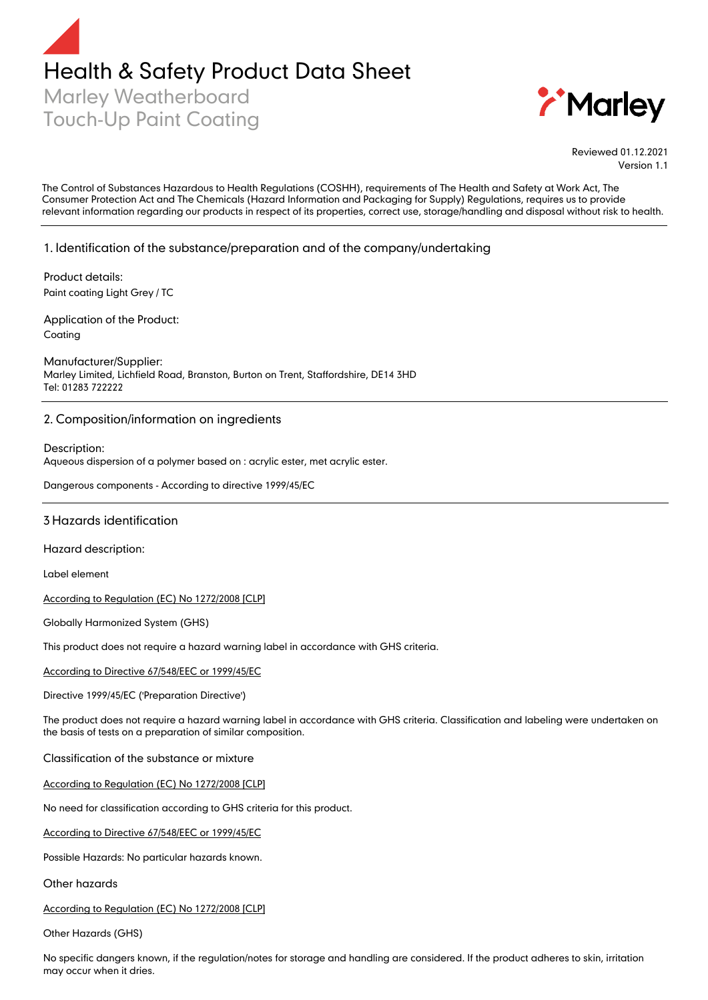



Reviewed 01.12.2021 Version 1.1

The Control of Substances Hazardous to Health Regulations (COSHH), requirements of The Health and Safety at Work Act, The Consumer Protection Act and The Chemicals (Hazard Information and Packaging for Supply) Regulations, requires us to provide relevant information regarding our products in respect of its properties, correct use, storage/handling and disposal without risk to health.

# 1.Identification of the substance/preparation and of the company/undertaking

Product details: Paint coating Light Grey / TC

Application of the Product: Coating

Manufacturer/Supplier: Marley Limited, Lichfield Road, Branston, Burton on Trent, Staffordshire, DE14 3HD Tel: 01283 722222

# 2. Composition/information on ingredients

Description: Aqueous dispersion of a polymer based on : acrylic ester, met acrylic ester.

Dangerous components - According to directive 1999/45/EC

#### 3 Hazards identification

Hazard description:

Label element

According to Regulation (EC) No 1272/2008 [CLP]

Globally Harmonized System (GHS)

This product does not require a hazard warning label in accordance with GHS criteria.

According to Directive 67/548/EEC or 1999/45/EC

Directive 1999/45/EC ('Preparation Directive')

The product does not require a hazard warning label in accordance with GHS criteria. Classification and labeling were undertaken on the basis of tests on a preparation of similar composition.

Classification of the substance or mixture

According to Regulation (EC) No 1272/2008 [CLP]

No need for classification according to GHS criteria for this product.

According to Directive 67/548/EEC or 1999/45/EC

Possible Hazards: No particular hazards known.

Other hazards

According to Regulation (EC) No 1272/2008 [CLP]

Other Hazards (GHS)

No specific dangers known, if the regulation/notes for storage and handling are considered. If the product adheres to skin, irritation may occur when it dries.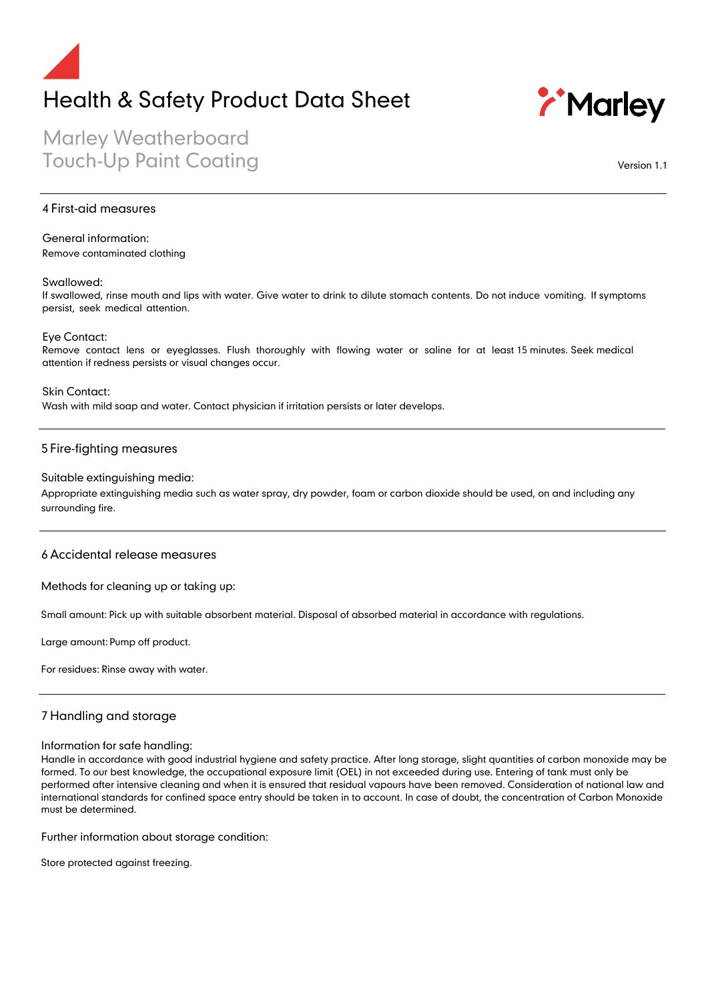# Health & Safety Product Data Sheet



Marley Weatherboard Touch-Up Paint Coating

Version 1.1

#### 4 First-aid measures

### General information:

Remove contaminated clothing

#### Swallowed:

If swallowed, rinse mouth and lips with water. Give water to drink to dilute stomach contents. Do not induce vomiting. If symptoms persist, seek medical attention.

Eye Contact:

Remove contact lens or eyeglasses. Flush thoroughly with flowing water or saline for at least 15 minutes. Seek medical attention if redness persists or visual changes occur.

Skin Contact: Wash with mild soap and water. Contact physician if irritation persists or later develops.

#### 5 Fire-fighting measures

#### Suitable extinguishing media:

Appropriate extinguishing media such as water spray, dry powder, foam or carbon dioxide should be used, on and including any surrounding fire.

### 6 Accidental release measures

Methods for cleaning up or taking up:

Small amount: Pick up with suitable absorbent material. Disposal of absorbed material in accordance with regulations.

Large amount: Pump off product.

For residues: Rinse away with water.

# 7 Handling and storage

#### Information for safe handling:

Handle in accordance with good industrial hygiene and safety practice. After long storage, slight quantities of carbon monoxide may be formed. To our best knowledge, the occupational exposure limit (OEL) in not exceeded during use. Entering of tank must only be performed after intensive cleaning and when it is ensured that residual vapours have been removed. Consideration of national law and international standards for confined space entry should be taken in to account. In case of doubt, the concentration of Carbon Monoxide must be determined.

Further information about storage condition:

Store protected against freezing.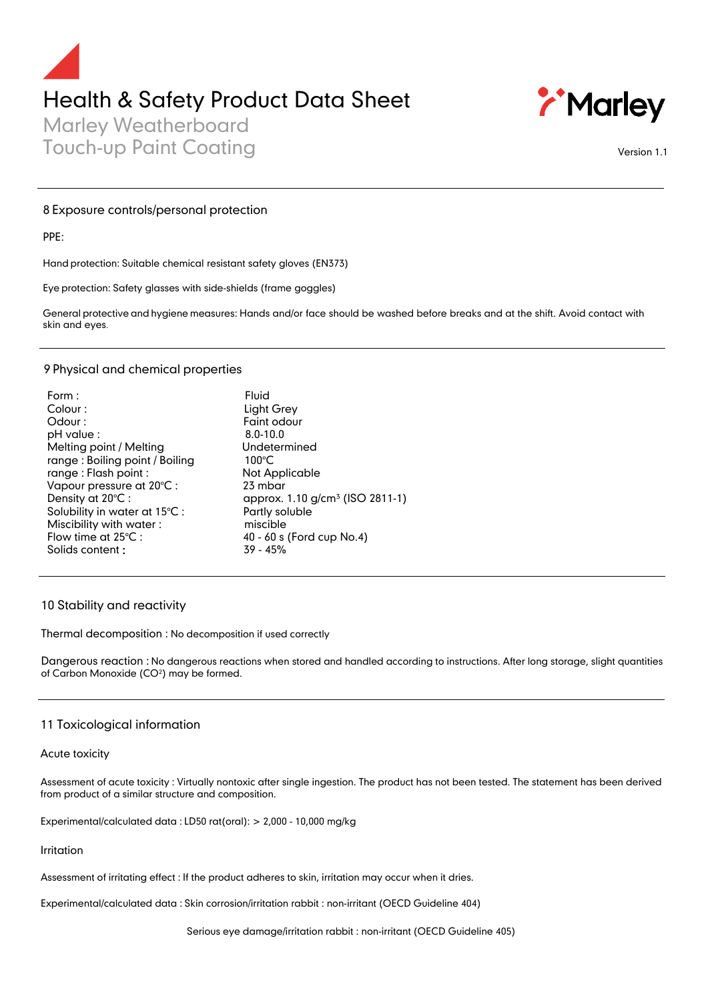# Health & Safety Product Data Sheet

Marley Weatherboard Touch-up Paint Coating Version 1.1



#### 8 Exposure controls/personal protection

PPE:

Hand protection: Suitable chemical resistant safety gloves (EN373)

Eye protection: Safety glasses with side-shields (frame goggles)

General protective and hygiene measures: Hands and/or face should be washed before breaks and at the shift. Avoid contact with skin and eyes.

# 9 Physical and chemical properties

| Form:                          | Fluid                                       |
|--------------------------------|---------------------------------------------|
| Colour:                        | Light Grey                                  |
| Odour:                         | Faint odour                                 |
| pH value :                     | $8.0 - 10.0$                                |
| Melting point / Melting        | Undetermined                                |
| range: Boiling point / Boiling | $100^{\circ}$ C                             |
| range: Flash point:            | Not Applicable                              |
| Vapour pressure at 20°C :      | 23 mbar                                     |
| Density at 20°C:               | approx. 1.10 g/cm <sup>3</sup> (ISO 2811-1) |
| Solubility in water at 15°C:   | Partly soluble                              |
| Miscibility with water:        | miscible                                    |
| Flow time at $25^{\circ}$ C :  | 40 - 60 s (Ford cup No.4)                   |
| Solids content:                | $39 - 45%$                                  |
|                                |                                             |

# 10 Stability and reactivity

Thermal decomposition : No decomposition if used correctly

Dangerous reaction : No dangerous reactions when stored and handled according to instructions. After long storage, slight quantities of Carbon Monoxide (CO²) may be formed.

#### 11 Toxicological information

#### Acute toxicity

Assessment of acute toxicity : Virtually nontoxic after single ingestion. The product has not been tested. The statement has been derived from product of a similar structure and composition.

Experimental/calculated data : LD50 rat(oral): > 2,000 - 10,000 mg/kg

#### Irritation

Assessment of irritating effect : If the product adheres to skin, irritation may occur when it dries.

Experimental/calculated data : Skin corrosion/irritation rabbit : non-irritant (OECD Guideline 404)